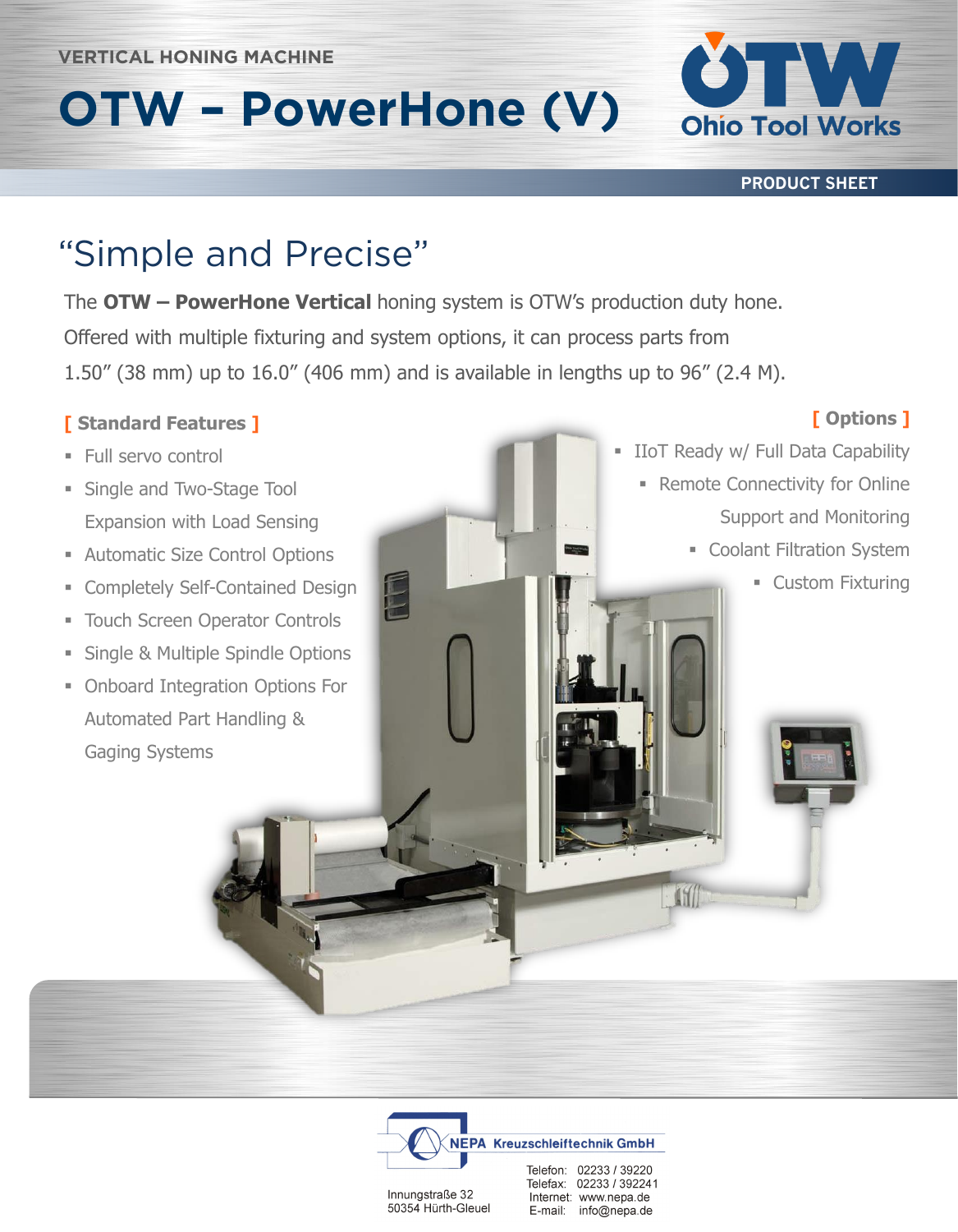# **OTW – PowerHone (V)**



**PRODUCT SHEET**

The **OTW – PowerHone Vertical** honing system is OTW's production duty hone. Offered with multiple fixturing and system options, it can process parts from 1.50" (38 mm) up to 16.0" (406 mm) and is available in lengths up to 96" (2.4 M).

#### **[ Standard Features ]**

- Full servo control
- **Example 3 Single and Two-Stage Tool** Expansion with Load Sensing
- **EXECUTE: Automatic Size Control Options**
- **Exercise Completely Self-Contained Design**
- **EXECO Touch Screen Operator Controls**
- Single & Multiple Spindle Options
- **Onboard Integration Options For** Automated Part Handling & Gaging Systems

### **[ Options ]**

- **EXECT:** IIoT Ready w/ Full Data Capability
	- **Remote Connectivity for Online** Support and Monitoring
		- **Coolant Filtration System** 
			- **Example 1** Custom Fixturing



Innungstraße 32 50354 Hürth-Gleuel Telefax: 02233 / 392241 Internet: www.nepa.de E-mail: info@nepa.de

 $-650$